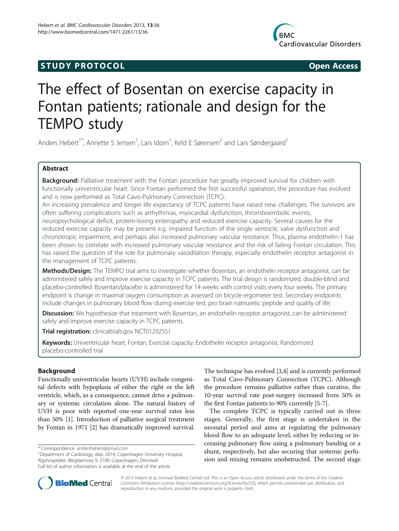## **STUDY PROTOCOL CONSUMING THE STUDY PROTOCOL**



# The effect of Bosentan on exercise capacity in Fontan patients; rationale and design for the TEMPO study

Anders Hebert<sup>1\*</sup>, Annette S Jensen<sup>1</sup>, Lars Idorn<sup>1</sup>, Keld E Sørensen<sup>2</sup> and Lars Søndergaard<sup>1</sup>

## Abstract

Background: Palliative treatment with the Fontan procedure has greatly improved survival for children with functionally univentricular heart. Since Fontan performed the first successful operation, the procedure has evolved and is now performed as Total Cavo-Pulmonary Connection (TCPC).

An increasing prevalence and longer life expectancy of TCPC patients have raised new challenges. The survivors are often suffering complications such as arrhythmias, myocardial dysfunction, thromboembolic events,

neuropsychological deficit, protein-losing enteropathy and reduced exercise capacity. Several causes for the reduced exercise capacity may be present e.g. impaired function of the single ventricle, valve dysfunction and chronotropic impairment, and perhaps also increased pulmonary vascular resistance. Thus, plasma endothelin-1 has been shown to correlate with increased pulmonary vascular resistance and the risk of failing Fontan circulation. This has raised the question of the role for pulmonary vasodilation therapy, especially endothelin receptor antagonist in the management of TCPC patients.

Methods/Design: The TEMPO trial aims to investigate whether Bosentan, an endothelin receptor antagonist, can be administered safely and improve exercise capacity in TCPC patients. The trial design is randomized, double-blind and placebo-controlled. Bosentan/placebo is administered for 14 weeks with control visits every four weeks. The primary endpoint is change in maximal oxygen consumption as assessed on bicycle ergometer test. Secondary endpoints include changes in pulmonary blood flow during exercise test, pro brain natriuretic peptide and quality of life.

Discussion: We hypothesize that treatment with Bosentan, an endothelin receptor antagonist, can be administered safely and improve exercise capacity in TCPC patients.

Trial registration: clinicaltrials.gov [NCT01292551](http://www.clinicaltrials.gov/NCT01292551)

Keywords: Univentricular heart, Fontan, Exercise capacity, Endothelin receptor antagonist, Randomized placebo-controlled trial

## Background

Functionally univentricular hearts (UVH) include congenital defects with hypoplasia of either the right or the left ventricle, which, as a consequence, cannot drive a pulmonary or systemic circulation alone. The natural history of UVH is poor with reported one-year survival rates less than 50% [\[1\]](#page-5-0). Introduction of palliative surgical treatment by Fontan in 1971 [\[2\]](#page-5-0) has dramatically improved survival. The technique has evolved [[3](#page-5-0),[4](#page-5-0)] and is currently performed as Total Cavo-Pulmonary Connection (TCPC). Although the procedure remains palliative rather than curative, the 10-year survival rate post-surgery increased from 50% in the first Fontan patients to 90% currently [\[5-7\]](#page-5-0).

The complete TCPC is typically carried out in three stages. Generally, the first stage is undertaken in the neonatal period and aims at regulating the pulmonary blood flow to an adequate level, either by reducing or increasing pulmonary flow using a pulmonary banding or a shunt, respectively, but also securing that systemic perfusion and mixing remains unobstructed. The second stage



© 2013 Hebert et al.; licensee BioMed Central Ltd. This is an Open Access article distributed under the terms of the Creative Commons Attribution License [\(http://creativecommons.org/licenses/by/2.0\)](http://creativecommons.org/licenses/by/2.0), which permits unrestricted use, distribution, and reproduction in any medium, provided the original work is properly cited.

<sup>\*</sup> Correspondence: [andershebert@gmail.com](mailto:andershebert@gmail.com) <sup>1</sup>

<sup>&</sup>lt;sup>1</sup>Department of Cardiology, dep. 2014, Copenhagen University Hospital, Rigshospitalet, Blegdamsvej 9, 2100, Copenhagen, Denmark Full list of author information is available at the end of the article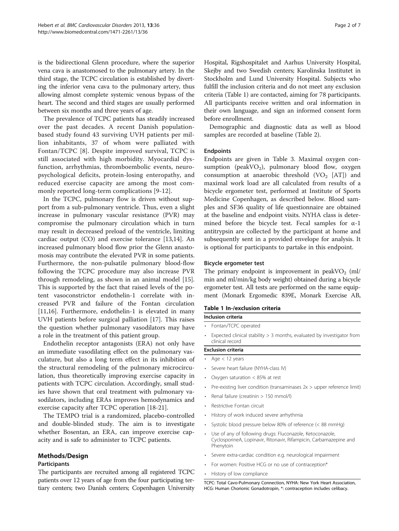is the bidirectional Glenn procedure, where the superior vena cava is anastomosed to the pulmonary artery. In the third stage, the TCPC circulation is established by diverting the inferior vena cava to the pulmonary artery, thus allowing almost complete systemic venous bypass of the heart. The second and third stages are usually performed between six months and three years of age.

The prevalence of TCPC patients has steadily increased over the past decades. A recent Danish populationbased study found 43 surviving UVH patients per million inhabitants, 37 of whom were palliated with Fontan/TCPC [[8\]](#page-5-0). Despite improved survival, TCPC is still associated with high morbidity. Myocardial dysfunction, arrhythmias, thromboembolic events, neuropsychological deficits, protein-losing enteropathy, and reduced exercise capacity are among the most commonly reported long-term complications [[9-](#page-5-0)[12\]](#page-6-0).

In the TCPC, pulmonary flow is driven without support from a sub-pulmonary ventricle. Thus, even a slight increase in pulmonary vascular resistance (PVR) may compromise the pulmonary circulation which in turn may result in decreased preload of the ventricle, limiting cardiac output (CO) and exercise tolerance [[13,14\]](#page-6-0). An increased pulmonary blood flow prior the Glenn anastomosis may contribute the elevated PVR in some patients. Furthermore, the non-pulsatile pulmonary blood-flow following the TCPC procedure may also increase PVR through remodeling, as shown in an animal model [\[15](#page-6-0)]. This is supported by the fact that raised levels of the potent vasoconstrictor endothelin-1 correlate with increased PVR and failure of the Fontan circulation [[11,16\]](#page-6-0). Furthermore, endothelin-1 is elevated in many UVH patients before surgical palliation [\[17](#page-6-0)]. This raises the question whether pulmonary vasodilators may have a role in the treatment of this patient group.

Endothelin receptor antagonists (ERA) not only have an immediate vasodilating effect on the pulmonary vasculature, but also a long term effect in its inhibition of the structural remodeling of the pulmonary microcirculation, thus theoretically improving exercise capacity in patients with TCPC circulation. Accordingly, small studies have shown that oral treatment with pulmonary vasodilators, including ERAs improves hemodynamics and exercise capacity after TCPC operation [[18-21](#page-6-0)].

The TEMPO trial is a randomized, placebo-controlled and double-blinded study. The aim is to investigate whether Bosentan, an ERA, can improve exercise capacity and is safe to administer to TCPC patients.

## Methods/Design

## Participants

The participants are recruited among all registered TCPC patients over 12 years of age from the four participating tertiary centers; two Danish centers; Copenhagen University Hospital, Rigshospitalet and Aarhus University Hospital, Skejby and two Swedish centers; Karolinska Institutet in Stockholm and Lund University Hospital. Subjects who fulfill the inclusion criteria and do not meet any exclusion criteria (Table 1) are contacted, aiming for 78 participants. All participants receive written and oral information in their own language, and sign an informed consent form before enrollment.

Demographic and diagnostic data as well as blood samples are recorded at baseline (Table [2\)](#page-2-0).

## Endpoints

Endpoints are given in Table [3.](#page-2-0) Maximal oxygen consumption (peakVO<sub>2</sub>), pulmonary blood flow, oxygen consumption at anaerobic threshold  $(VO<sub>2</sub> [AT])$  and maximal work load are all calculated from results of a bicycle ergometer test, performed at Institute of Sports Medicine Copenhagen, as described below. Blood samples and SF36 quality of life questionnaire are obtained at the baseline and endpoint visits. NYHA class is determined before the bicycle test. Fecal samples for  $\alpha$ -1 antitrypsin are collected by the participant at home and subsequently sent in a provided envelope for analysis. It is optional for participants to partake in this endpoint.

## Bicycle ergometer test

The primary endpoint is improvement in peakVO<sub>2</sub> (ml/ min and ml/min/kg body weight) obtained during a bicycle ergometer test. All tests are performed on the same equipment (Monark Ergomedic 839E, Monark Exercise AB,

## Table 1 In-/exclusion criteria

## Inclusion criteria

- Fontan/TCPC operated
- Expected clinical stability > 3 months, evaluated by investigator from clinical record

## Exclusion criteria

- Age  $<$  12 years
- Severe heart failure (NYHA-class IV)
- Oxygen saturation < 85% at rest
- Pre-existing liver condition (transaminases 2x > upper reference limit)
- Renal failure (creatinin > 150 mmol/l)
- Restrictive Fontan circuit
- History of work induced severe arrhythmia
- Systolic blood pressure below 80% of reference (< 88 mmHg)
- Use of any of following drugs: Fluconazole, Ketoconazole, CyclosporineA, Lopinavir, Ritonavir, Rifampicin, Carbamazepine and Phenytoin
- Severe extra-cardiac condition e.g. neurological impairment
- For women: Positive HCG or no use of contraception\*
- History of low compliance

TCPC: Total Cavo-Pulmonary Connection, NYHA: New York Heart Association, HCG: Human Chorionic Gonadotropin, \*: contraception includes celibacy.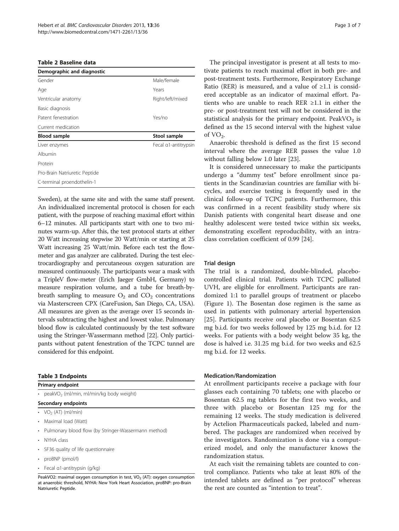<span id="page-2-0"></span>

|  |  |  | Table 2 Baseline data |  |
|--|--|--|-----------------------|--|
|--|--|--|-----------------------|--|

| Demographic and diagnostic    |                      |
|-------------------------------|----------------------|
| Gender                        | Male/female          |
| Age                           | Years                |
| Ventricular anatomy           | Right/left/mixed     |
| Basic diagnosis               |                      |
| Patent fenestration           | Yes/no               |
| Current medication            |                      |
| <b>Blood sample</b>           | Stool sample         |
| Liver enzymes                 | Fecal a1-antitrypsin |
| Albumin                       |                      |
| Protein                       |                      |
| Pro-Brain Natriuretic Peptide |                      |
| C-terminal proendothelin-1    |                      |

Sweden), at the same site and with the same staff present. An individualized incremental protocol is chosen for each patient, with the purpose of reaching maximal effort within 6–12 minutes. All participants start with one to two minutes warm-up. After this, the test protocol starts at either 20 Watt increasing stepwise 20 Watt/min or starting at 25 Watt increasing 25 Watt/min. Before each test the flowmeter and gas analyzer are calibrated. During the test electrocardiography and percutaneous oxygen saturation are measured continuously. The participants wear a mask with a TripleV flow-meter (Erich Jaeger GmbH, Germany) to measure respiration volume, and a tube for breath-bybreath sampling to measure  $O_2$  and  $CO_2$  concentrations via Masterscreen CPX (CareFusion, San Diego, CA, USA). All measures are given as the average over 15 seconds intervals subtracting the highest and lowest value. Pulmonary blood flow is calculated continuously by the test software using the Stringer-Wassermann method [\[22\]](#page-6-0). Only participants without patent fenestration of the TCPC tunnel are considered for this endpoint.

#### Table 3 Endpoints

Primary endpoint

peakVO<sub>2</sub> (ml/min, ml/min/kg body weight)

## Secondary endpoints

- $VO<sub>2</sub> (AT) (ml/min)$
- Maximal load (Watt)
- Pulmonary blood flow (by Stringer-Wassermann method)
- NYHA class
- SF36 quality of life questionnaire
- proBNP (pmol/l)
- Fecal α1-antitrypsin (g/kg)

PeakVO2: maximal oxygen consumption in test, VO<sub>2</sub> (AT): oxygen consumption at anaerobic threshold, NYHA: New York Heart Association, proBNP: pro-Brain Natriuretic Peptide.

The principal investigator is present at all tests to motivate patients to reach maximal effort in both pre- and post-treatment tests. Furthermore, Respiratory Exchange Ratio (RER) is measured, and a value of  $\geq 1.1$  is considered acceptable as an indicator of maximal effort. Patients who are unable to reach RER ≥1.1 in either the pre- or post-treatment test will not be considered in the statistical analysis for the primary endpoint. PeakV $O<sub>2</sub>$  is defined as the 15 second interval with the highest value of  $VO<sub>2</sub>$ .

Anaerobic threshold is defined as the first 15 second interval where the average RER passes the value 1.0 without falling below 1.0 later [\[23](#page-6-0)].

It is considered unnecessary to make the participants undergo a "dummy test" before enrollment since patients in the Scandinavian countries are familiar with bicycles, and exercise testing is frequently used in the clinical follow-up of TCPC patients. Furthermore, this was confirmed in a recent feasibility study where six Danish patients with congenital heart disease and one healthy adolescent were tested twice within six weeks, demonstrating excellent reproducibility, with an intraclass correlation coefficient of 0.99 [\[24\]](#page-6-0).

## Trial design

The trial is a randomized, double-blinded, placebocontrolled clinical trial. Patients with TCPC palliated UVH, are eligible for enrollment. Participants are randomized 1:1 to parallel groups of treatment or placebo (Figure [1](#page-3-0)). The Bosentan dose regimen is the same as used in patients with pulmonary arterial hypertension [[25\]](#page-6-0). Participants receive oral placebo or Bosentan 62.5 mg b.i.d. for two weeks followed by 125 mg b.i.d. for 12 weeks. For patients with a body weight below 35 kg, the dose is halved i.e. 31.25 mg b.i.d. for two weeks and 62.5 mg b.i.d. for 12 weeks.

## Medication/Randomization

At enrollment participants receive a package with four glasses each containing 70 tablets; one with placebo or Bosentan 62.5 mg tablets for the first two weeks, and three with placebo or Bosentan 125 mg for the remaining 12 weeks. The study medication is delivered by Actelion Pharmaceuticals packed, labeled and numbered. The packages are randomized when received by the investigators. Randomization is done via a computerized model, and only the manufacturer knows the randomization status.

At each visit the remaining tablets are counted to control compliance. Patients who take at least 80% of the intended tablets are defined as "per protocol" whereas the rest are counted as "intention to treat".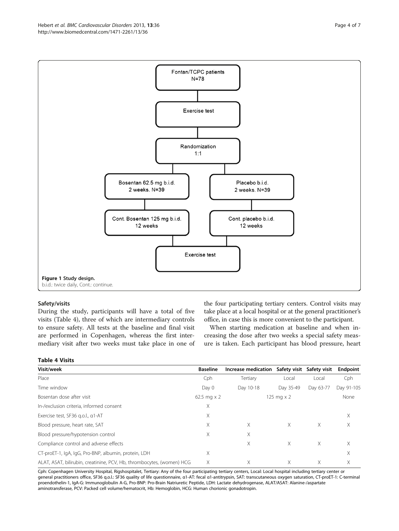<span id="page-3-0"></span>

## Safety/visits

During the study, participants will have a total of five visits (Table 4), three of which are intermediary controls to ensure safety. All tests at the baseline and final visit are performed in Copenhagen, whereas the first intermediary visit after two weeks must take place in one of

the four participating tertiary centers. Control visits may take place at a local hospital or at the general practitioner's office, in case this is more convenient to the participant.

When starting medication at baseline and when increasing the dose after two weeks a special safety measure is taken. Each participant has blood pressure, heart

| <b>Table 4 Visits</b> |  |  |  |  |
|-----------------------|--|--|--|--|
|-----------------------|--|--|--|--|

| Visit/week                                                            | <b>Baseline</b>      | Increase medication Safety visit |                   | Safety visit | Endpoint   |
|-----------------------------------------------------------------------|----------------------|----------------------------------|-------------------|--------------|------------|
| Place                                                                 | Cph                  | Tertiary                         | Local             | Local        | Cph        |
| Time window                                                           | Day 0                | Day 10-18                        | Day 35-49         | Day 63-77    | Day 91-105 |
| Bosentan dose after visit                                             | $62.5$ mg $\times$ 2 |                                  | 125 mg $\times$ 2 |              | None       |
| In-/exclusion criteria, informed consent                              | X                    |                                  |                   |              |            |
| Exercise test, SF36 g.o.l., a1-AT                                     | X                    |                                  |                   |              | X          |
| Blood pressure, heart rate, SAT                                       | X                    | X                                | Χ                 | X            | X          |
| Blood pressure/hypotension control                                    | X                    | Χ                                |                   |              |            |
| Compliance control and adverse effects                                |                      | X                                | X.                | X            | X          |
| CT-proET-1, IgA, IgG, Pro-BNP, albumin, protein, LDH                  | Χ                    |                                  |                   |              | Χ          |
| ALAT, ASAT, bilirubin, creatinine, PCV, Hb, thrombocytes, (women) HCG | Χ                    | X                                | Χ                 | Χ            | X          |

Cph: Copenhagen University Hospital, Rigshospitalet, Tertiary: Any of the four participating tertiary centers, Local: Local hospital including tertiary center or general practitioners office, SF36 q.o.l.: SF36 quality of life questionnaire, α1-AT: fecal α1-antitrypsin, SAT: transcutaneous oxygen saturation, CT-proET-1: C-terminal proendothelin-1, IgA-G: Immunoglobulin A-G, Pro-BNP: Pro-Brain Natriuretic Peptide, LDH: Lactate dehydrogenase, ALAT/ASAT: Alanine-/aspartate aminotransferase, PCV: Packed cell volume/hematocrit, Hb: Hemoglobin, HCG: Human chorionic gonadotropin.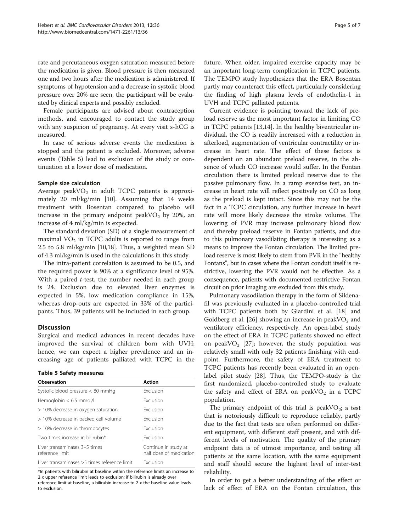rate and percutaneous oxygen saturation measured before the medication is given. Blood pressure is then measured one and two hours after the medication is administered. If symptoms of hypotension and a decrease in systolic blood pressure over 20% are seen, the participant will be evaluated by clinical experts and possibly excluded.

Female participants are advised about contraception methods, and encouraged to contact the study group with any suspicion of pregnancy. At every visit s-hCG is measured.

In case of serious adverse events the medication is stopped and the patient is excluded. Moreover, adverse events (Table 5) lead to exclusion of the study or continuation at a lower dose of medication.

## Sample size calculation

Average peakVO<sub>2</sub> in adult TCPC patients is approximately 20 ml/kg/min [\[10](#page-5-0)]. Assuming that 14 weeks treatment with Bosentan compared to placebo will increase in the primary endpoint peakVO<sub>2</sub> by 20%, an increase of 4 ml/kg/min is expected.

The standard deviation (SD) of a single measurement of maximal  $VO<sub>2</sub>$  in TCPC adults is reported to range from 2.5 to 5.8 ml/kg/min [[10](#page-5-0)[,18](#page-6-0)]. Thus, a weighted mean SD of 4.3 ml/kg/min is used in the calculations in this study.

The intra-patient correlation is assumed to be 0.5, and the required power is 90% at a significance level of 95%. With a paired *t*-test, the number needed in each group is 24. Exclusion due to elevated liver enzymes is expected in 5%, low medication compliance in 15%, whereas drop-outs are expected in 33% of the participants. Thus, 39 patients will be included in each group.

## **Discussion**

Surgical and medical advances in recent decades have improved the survival of children born with UVH; hence, we can expect a higher prevalence and an increasing age of patients palliated with TCPC in the

|  |  |  | <b>Table 5 Safety measures</b> |
|--|--|--|--------------------------------|
|--|--|--|--------------------------------|

| Observation                                      | <b>Action</b>                                   |
|--------------------------------------------------|-------------------------------------------------|
| Systolic blood pressure $< 80$ mmHg              | <b>Fxclusion</b>                                |
| Hemoglobin $< 6.5$ mmol/l                        | <b>Fxclusion</b>                                |
| > 10% decrease in oxygen saturation              | <b>Fxclusion</b>                                |
| > 10% decrease in packed cell volume             | <b>Fxclusion</b>                                |
| > 10% decrease in thrombocytes                   | <b>Exclusion</b>                                |
| Two times increase in bilirubin*                 | <b>Fxclusion</b>                                |
| Liver transaminases 3-5 times<br>reference limit | Continue in study at<br>half dose of medication |
| Liver transaminases > 5 times reference limit    | <b>Fxclusion</b>                                |

\*In patients with bilirubin at baseline within the reference limits an increase to 2 x upper reference limit leads to exclusion; if bilirubin is already over reference limit at baseline, a bilirubin increase to 2 x the baseline value leads to exclusion.

future. When older, impaired exercise capacity may be an important long-term complication in TCPC patients. The TEMPO study hypothesizes that the ERA Bosentan partly may counteract this effect, particularly considering the finding of high plasma levels of endothelin-1 in UVH and TCPC palliated patients.

Current evidence is pointing toward the lack of preload reserve as the most important factor in limiting CO in TCPC patients [\[13,14\]](#page-6-0). In the healthy biventricular individual, the CO is readily increased with a reduction in afterload, augmentation of ventricular contractility or increase in heart rate. The effect of these factors is dependent on an abundant preload reserve, in the absence of which CO increase would suffer. In the Fontan circulation there is limited preload reserve due to the passive pulmonary flow. In a ramp exercise test, an increase in heart rate will reflect positively on CO as long as the preload is kept intact. Since this may not be the fact in a TCPC circulation, any further increase in heart rate will more likely decrease the stroke volume. The lowering of PVR may increase pulmonary blood flow and thereby preload reserve in Fontan patients, and due to this pulmonary vasodilating therapy is interesting as a means to improve the Fontan circulation. The limited preload reserve is most likely to stem from PVR in the "healthy Fontans", but in cases where the Fontan conduit itself is restrictive, lowering the PVR would not be effective. As a consequence, patients with documented restrictive Fontan circuit on prior imaging are excluded from this study.

Pulmonary vasodilation therapy in the form of Sildenafil was previously evaluated in a placebo-controlled trial with TCPC patients both by Giardini et al. [\[18\]](#page-6-0) and Goldberg et al. [\[26](#page-6-0)] showing an increase in peak  $VO<sub>2</sub>$  and ventilatory efficiency, respectively. An open-label study on the effect of ERA in TCPC patients showed no effect on peakVO<sub>2</sub> [\[27](#page-6-0)]; however, the study population was relatively small with only 32 patients finishing with endpoint. Furthermore, the safety of ERA treatment to TCPC patients has recently been evaluated in an openlabel pilot study [[28\]](#page-6-0). Thus, the TEMPO-study is the first randomized, placebo-controlled study to evaluate the safety and effect of ERA on peakVO<sub>2</sub> in a TCPC population.

The primary endpoint of this trial is peak  $VO<sub>2</sub>$ ; a test that is notoriously difficult to reproduce reliably, partly due to the fact that tests are often performed on different equipment, with different staff present, and with different levels of motivation. The quality of the primary endpoint data is of utmost importance, and testing all patients at the same location, with the same equipment and staff should secure the highest level of inter-test reliability.

In order to get a better understanding of the effect or lack of effect of ERA on the Fontan circulation, this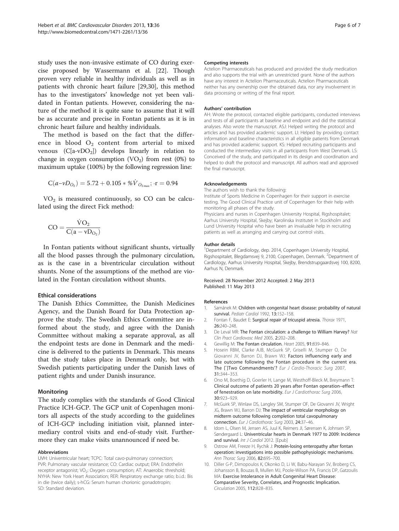<span id="page-5-0"></span>study uses the non-invasive estimate of CO during exercise proposed by Wassermann et al. [[22\]](#page-6-0). Though proven very reliable in healthy individuals as well as in patients with chronic heart failure [[29,30\]](#page-6-0), this method has to the investigators' knowledge not yet been validated in Fontan patients. However, considering the nature of the method it is quite sane to assume that it will be as accurate and precise in Fontan patients as it is in chronic heart failure and healthy individuals.

The method is based on the fact that the difference in blood  $O_2$  content from arterial to mixed venous  $(C[a-vDO<sub>2</sub>])$  develops linearly in relation to change in oxygen consumption  $(VO<sub>2</sub>)$  from rest  $(0%)$  to maximum uptake (100%) by the following regression line:

$$
C(a-vD_{\mathrm{O}_2})=5.72+0.105*\%\dot{V}_{\mathrm{O}_{2\,max}}; \ \mathrm{r}=0.94
$$

 $VO<sub>2</sub>$  is measured continuously, so CO can be calculated using the direct Fick method:

$$
CO = \frac{\dot{V}O_2}{C(a - vD_{O_2})}
$$

In Fontan patients without significant shunts, virtually all the blood passes through the pulmonary circulation, as is the case in a biventricular circulation without shunts. None of the assumptions of the method are violated in the Fontan circulation without shunts.

## Ethical considerations

The Danish Ethics Committee, the Danish Medicines Agency, and the Danish Board for Data Protection approve the study. The Swedish Ethics Committee are informed about the study, and agree with the Danish Committee without making a separate approval, as all the endpoint tests are done in Denmark and the medicine is delivered to the patients in Denmark. This means that the study takes place in Denmark only, but with Swedish patients participating under the Danish laws of patient rights and under Danish insurance.

## Monitoring

The study complies with the standards of Good Clinical Practice ICH-GCP. The GCP unit of Copenhagen monitors all aspects of the study according to the guidelines of ICH-GCP including initiation visit, planned intermediary control visits and end-of-study visit. Furthermore they can make visits unannounced if need be.

## Abbreviations

UVH: Univentricular heart; TCPC: Total cavo-pulmonary connection; PVR: Pulmonary vascular resistance; CO: Cardiac output; ERA: Endothelin receptor antagonist; VO<sub>2</sub>: Oxygen consumption; AT: Anaerobic threshold; NYHA: New York Heart Association; RER: Respiratory exchange ratio; b.i.d.: Bis in die (twice daily); s-hCG: Serum human chorionic gonadotropin; SD: Standard deviation.

#### Competing interests

Actelion Pharmaceuticals has produced and provided the study medication and also supports the trial with an unrestricted grant. None of the authors have any interest in Actelion Pharmaceuticals. Actelion Pharmaceuticals neither has any ownership over the obtained data, nor any involvement in data processing or writing of the final report.

#### Authors' contribution

AH: Wrote the protocol, contacted eligible participants, conducted interviews and tests of all participants at baseline and endpoint and did the statistical analyses. Also wrote the manuscript. ASJ: Helped writing the protocol and articles and has provided academic support. LI: Helped by providing contact information and baseline characteristics in all eligible patients from Denmark and has provided academic support. KS: Helped recruiting participants and conducted the intermediary visits in all participants from West Denmark. LS: Conceived of the study, and participated in its design and coordination and helped to draft the protocol and manuscript. All authors read and approved the final manuscript.

#### Acknowledgements

The authors wish to thank the following:

Institute of Sports Medicine in Copenhagen for their support in exercise testing. The Good Clinical Practice unit of Copenhagen for their help with monitoring all phases of the study.

Physicians and nurses in Copenhagen University Hospital, Rigshospitalet; Aarhus University Hospital, Skejby; Karolinska Institutet in Stockholm and Lund University Hospital who have been an invaluable help in recruiting patients as well as arranging and carrying out control visits.

#### Author details

<sup>1</sup>Department of Cardiology, dep. 2014, Copenhagen University Hospital Rigshospitalet, Blegdamsvej 9, 2100, Copenhagen, Denmark. <sup>2</sup>Department of Cardiology, Aarhus University Hospital, Skejby, Brendstrupgaardsvej 100, 8200, Aarhus N, Denmark.

## Received: 28 November 2012 Accepted: 2 May 2013 Published: 11 May 2013

#### References

- Samánek M: Children with congenital heart disease: probability of natural survival. Pediatr Cardiol 1992, 13:152-158.
- 2. Fontan F, Baudet E: Surgical repair of tricuspid atresia. Thorax 1971, 26:240–248.
- 3. De Leval MR: The Fontan circulation: a challenge to William Harvey? Nat Clin Pract Cardiovasc Med 2005, 2:202–208.
- 4. Gewillig M: The Fontan circulation. Heart 2005, 91:839–846.
- 5. Hosein RBM, Clarke AJB, McGuirk SP, Griselli M, Stumper O, De Giovanni JV, Barron DJ, Brawn WJ: Factors influencing early and late outcome following the Fontan procedure in the current era. The [`]Two Commandments'? Eur J Cardio-Thoracic Surg 2007, 31:344–353.
- 6. Ono M, Boethig D, Goerler H, Lange M, Westhoff-Bleck M, Breymann T: Clinical outcome of patients 20 years after Fontan operation–effect of fenestration on late morbidity. Eur J Cardiothorac Surg 2006, 30:923–929.
- 7. McGuirk SP, Winlaw DS, Langley SM, Stumper OF, De Giovanni JV, Wright JG, Brawn WJ, Barron DJ: The impact of ventricular morphology on midterm outcome following completion total cavopulmonary connection. Eur J Cardiothorac Surg 2003, 24:37–46.
- 8. Idorn L, Olsen M, Jensen AS, Juul K, Reimers JI, Sørensen K, Johnsen SP, Søndergaard L: Univentricular hearts in Denmark 1977 to 2009: Incidence and survival. Int J Cardiol 2012. [Epub]
- 9. Ostrow AM, Freeze H, Rychik J: Protein-losing enteropathy after fontan operation: investigations into possible pathophysiologic mechanisms. Ann Thorac Surg 2006, 82:695–700.
- 10. Diller G-P, Dimopoulos K, Okonko D, Li W, Babu-Narayan SV, Broberg CS, Johansson B, Bouzas B, Mullen MJ, Poole-Wilson PA, Francis DP, Gatzoulis MA: Exercise Intolerance in Adult Congenital Heart Disease: Comparative Severity, Correlates, and Prognostic Implication. Circulation 2005, 112:828–835.